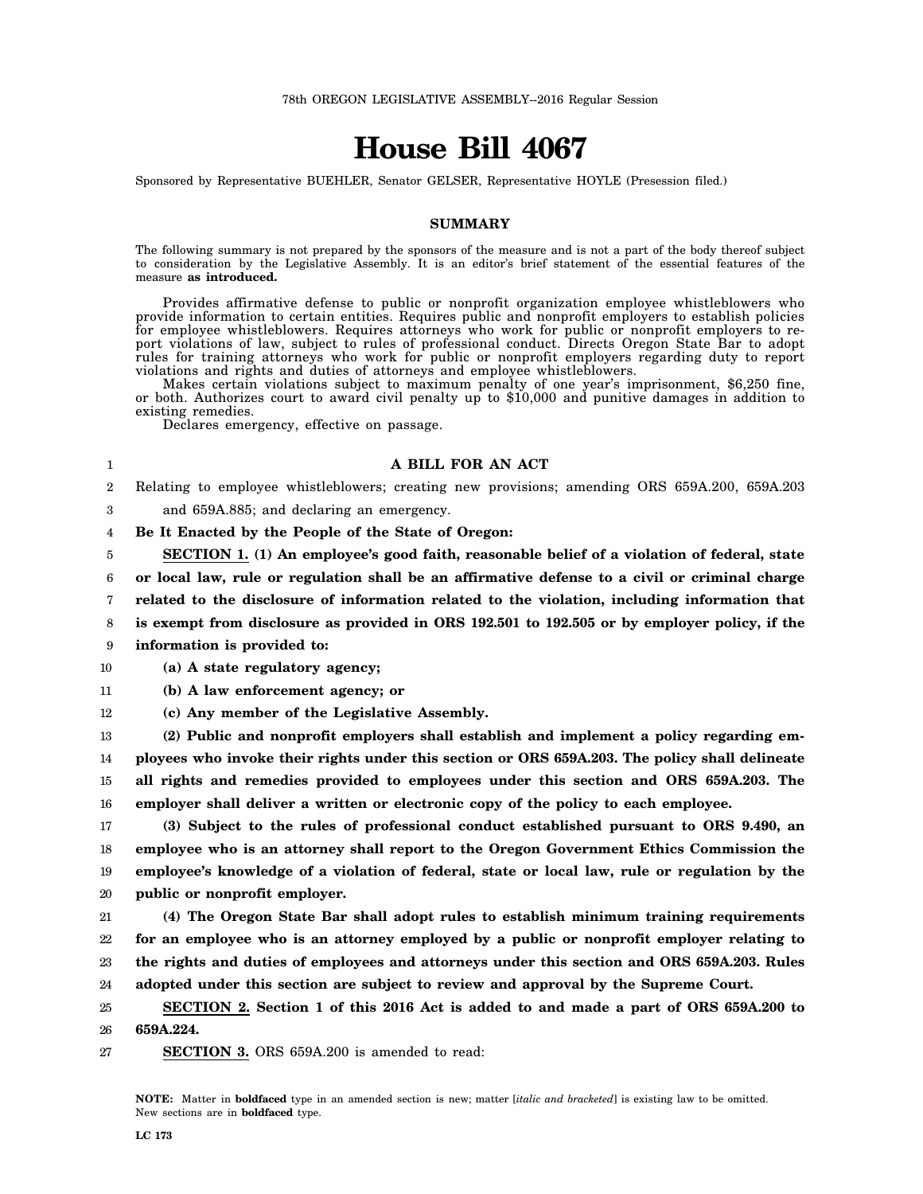# **House Bill 4067**

Sponsored by Representative BUEHLER, Senator GELSER, Representative HOYLE (Presession filed.)

#### **SUMMARY**

The following summary is not prepared by the sponsors of the measure and is not a part of the body thereof subject to consideration by the Legislative Assembly. It is an editor's brief statement of the essential features of the measure **as introduced.**

Provides affirmative defense to public or nonprofit organization employee whistleblowers who provide information to certain entities. Requires public and nonprofit employers to establish policies for employee whistleblowers. Requires attorneys who work for public or nonprofit employers to report violations of law, subject to rules of professional conduct. Directs Oregon State Bar to adopt rules for training attorneys who work for public or nonprofit employers regarding duty to report violations and rights and duties of attorneys and employee whistleblowers.

Makes certain violations subject to maximum penalty of one year's imprisonment, \$6,250 fine, or both. Authorizes court to award civil penalty up to \$10,000 and punitive damages in addition to existing remedies.

Declares emergency, effective on passage.

## **A BILL FOR AN ACT**

 $\Omega$ Relating to employee whistleblowers; creating new provisions; amending ORS 659A.200, 659A.203

3 and 659A.885; and declaring an emergency.

4 **Be It Enacted by the People of the State of Oregon:**

5 **SECTION 1. (1) An employee's good faith, reasonable belief of a violation of federal, state**

6 7 8 9 **or local law, rule or regulation shall be an affirmative defense to a civil or criminal charge related to the disclosure of information related to the violation, including information that is exempt from disclosure as provided in ORS 192.501 to 192.505 or by employer policy, if the information is provided to:**

10 **(a) A state regulatory agency;**

1

11 **(b) A law enforcement agency; or**

12 **(c) Any member of the Legislative Assembly.**

13 14 15 16 **(2) Public and nonprofit employers shall establish and implement a policy regarding employees who invoke their rights under this section or ORS 659A.203. The policy shall delineate all rights and remedies provided to employees under this section and ORS 659A.203. The employer shall deliver a written or electronic copy of the policy to each employee.**

17 18 19 20 **(3) Subject to the rules of professional conduct established pursuant to ORS 9.490, an employee who is an attorney shall report to the Oregon Government Ethics Commission the employee's knowledge of a violation of federal, state or local law, rule or regulation by the public or nonprofit employer.**

21 22 23 24 **(4) The Oregon State Bar shall adopt rules to establish minimum training requirements for an employee who is an attorney employed by a public or nonprofit employer relating to the rights and duties of employees and attorneys under this section and ORS 659A.203. Rules adopted under this section are subject to review and approval by the Supreme Court.**

25 26 **SECTION 2. Section 1 of this 2016 Act is added to and made a part of ORS 659A.200 to 659A.224.**

27 **SECTION 3.** ORS 659A.200 is amended to read:

**NOTE:** Matter in **boldfaced** type in an amended section is new; matter [*italic and bracketed*] is existing law to be omitted. New sections are in **boldfaced** type.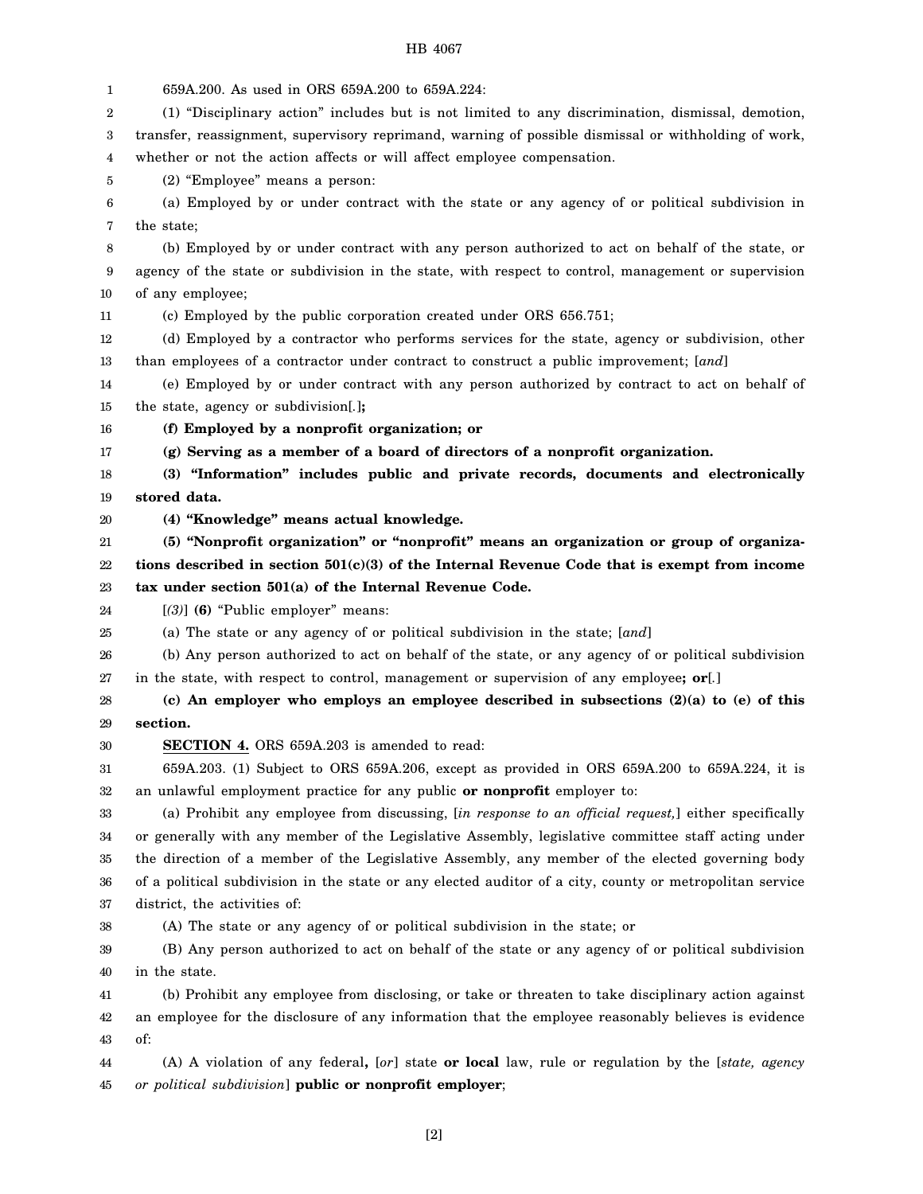1 2 3 4 5 6 7 8 9 10 11 12 13 14 15 16 17 18 19 20 21 22 23 24 25 26 27 28 29 30 31 32 33 34 35 36 37 38 39 40 41 42 43 44 45 659A.200. As used in ORS 659A.200 to 659A.224: (1) "Disciplinary action" includes but is not limited to any discrimination, dismissal, demotion, transfer, reassignment, supervisory reprimand, warning of possible dismissal or withholding of work, whether or not the action affects or will affect employee compensation. (2) "Employee" means a person: (a) Employed by or under contract with the state or any agency of or political subdivision in the state; (b) Employed by or under contract with any person authorized to act on behalf of the state, or agency of the state or subdivision in the state, with respect to control, management or supervision of any employee; (c) Employed by the public corporation created under ORS 656.751; (d) Employed by a contractor who performs services for the state, agency or subdivision, other than employees of a contractor under contract to construct a public improvement; [*and*] (e) Employed by or under contract with any person authorized by contract to act on behalf of the state, agency or subdivision[*.*]**; (f) Employed by a nonprofit organization; or (g) Serving as a member of a board of directors of a nonprofit organization. (3) "Information" includes public and private records, documents and electronically stored data. (4) "Knowledge" means actual knowledge. (5) "Nonprofit organization" or "nonprofit" means an organization or group of organizations described in section 501(c)(3) of the Internal Revenue Code that is exempt from income tax under section 501(a) of the Internal Revenue Code.** [*(3)*] **(6)** "Public employer" means: (a) The state or any agency of or political subdivision in the state; [*and*] (b) Any person authorized to act on behalf of the state, or any agency of or political subdivision in the state, with respect to control, management or supervision of any employee**; or**[*.*] **(c) An employer who employs an employee described in subsections (2)(a) to (e) of this section. SECTION 4.** ORS 659A.203 is amended to read: 659A.203. (1) Subject to ORS 659A.206, except as provided in ORS 659A.200 to 659A.224, it is an unlawful employment practice for any public **or nonprofit** employer to: (a) Prohibit any employee from discussing, [*in response to an official request,*] either specifically or generally with any member of the Legislative Assembly, legislative committee staff acting under the direction of a member of the Legislative Assembly, any member of the elected governing body of a political subdivision in the state or any elected auditor of a city, county or metropolitan service district, the activities of: (A) The state or any agency of or political subdivision in the state; or (B) Any person authorized to act on behalf of the state or any agency of or political subdivision in the state. (b) Prohibit any employee from disclosing, or take or threaten to take disciplinary action against an employee for the disclosure of any information that the employee reasonably believes is evidence of: (A) A violation of any federal**,** [*or*] state **or local** law, rule or regulation by the [*state, agency or political subdivision*] **public or nonprofit employer**;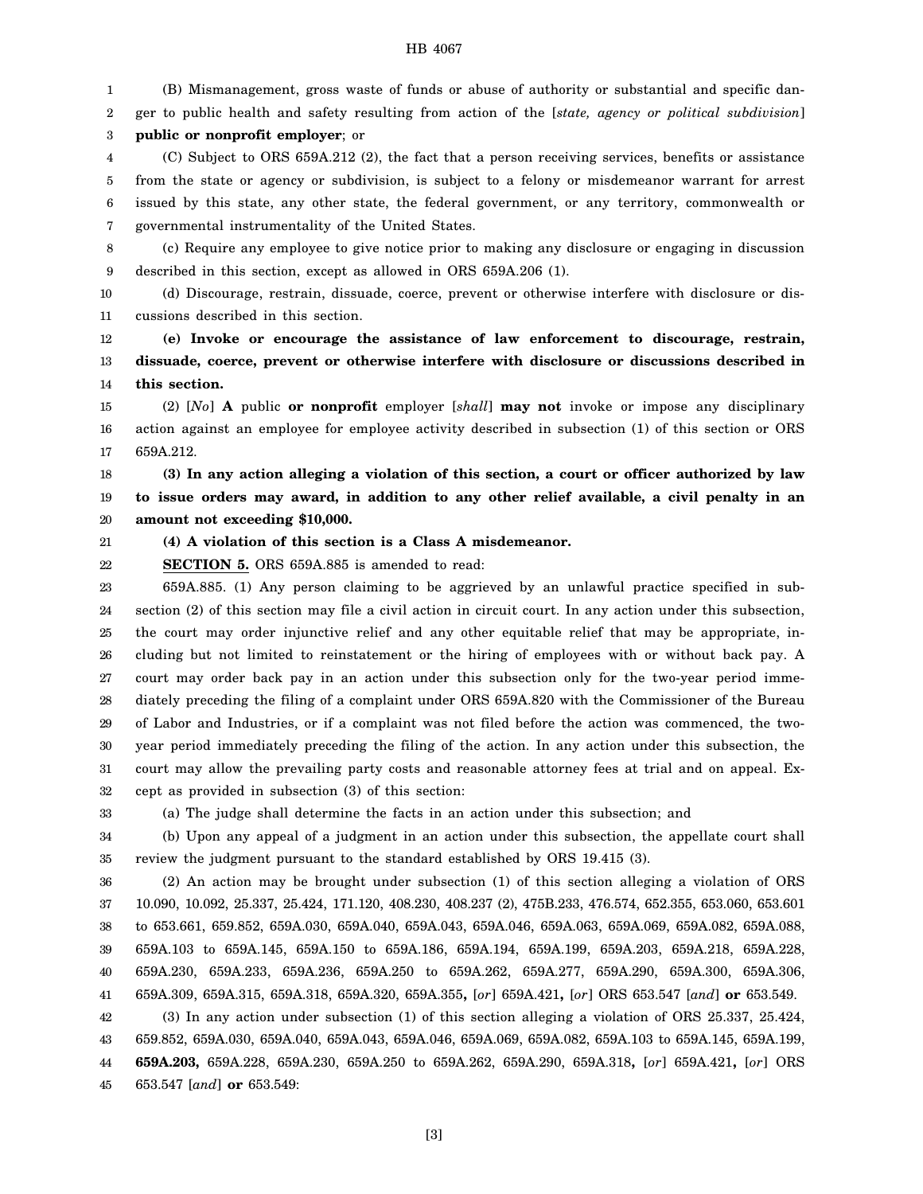1 2 3 4 (B) Mismanagement, gross waste of funds or abuse of authority or substantial and specific danger to public health and safety resulting from action of the [*state, agency or political subdivision*] **public or nonprofit employer**; or (C) Subject to ORS 659A.212 (2), the fact that a person receiving services, benefits or assistance

5 6 7 from the state or agency or subdivision, is subject to a felony or misdemeanor warrant for arrest issued by this state, any other state, the federal government, or any territory, commonwealth or governmental instrumentality of the United States.

8 9 (c) Require any employee to give notice prior to making any disclosure or engaging in discussion described in this section, except as allowed in ORS 659A.206 (1).

10 11 (d) Discourage, restrain, dissuade, coerce, prevent or otherwise interfere with disclosure or discussions described in this section.

12 13 14 **(e) Invoke or encourage the assistance of law enforcement to discourage, restrain, dissuade, coerce, prevent or otherwise interfere with disclosure or discussions described in this section.**

15 16 17 (2) [*No*] **A** public **or nonprofit** employer [*shall*] **may not** invoke or impose any disciplinary action against an employee for employee activity described in subsection (1) of this section or ORS 659A.212.

18 19 20 **(3) In any action alleging a violation of this section, a court or officer authorized by law to issue orders may award, in addition to any other relief available, a civil penalty in an amount not exceeding \$10,000.**

21 **(4) A violation of this section is a Class A misdemeanor.**

22 **SECTION 5.** ORS 659A.885 is amended to read:

23 24 25 26 27 28 29 30 31 32 659A.885. (1) Any person claiming to be aggrieved by an unlawful practice specified in subsection (2) of this section may file a civil action in circuit court. In any action under this subsection, the court may order injunctive relief and any other equitable relief that may be appropriate, including but not limited to reinstatement or the hiring of employees with or without back pay. A court may order back pay in an action under this subsection only for the two-year period immediately preceding the filing of a complaint under ORS 659A.820 with the Commissioner of the Bureau of Labor and Industries, or if a complaint was not filed before the action was commenced, the twoyear period immediately preceding the filing of the action. In any action under this subsection, the court may allow the prevailing party costs and reasonable attorney fees at trial and on appeal. Except as provided in subsection (3) of this section:

33

(a) The judge shall determine the facts in an action under this subsection; and

34 35 (b) Upon any appeal of a judgment in an action under this subsection, the appellate court shall review the judgment pursuant to the standard established by ORS 19.415 (3).

36 37 38 39 40 41 (2) An action may be brought under subsection (1) of this section alleging a violation of ORS 10.090, 10.092, 25.337, 25.424, 171.120, 408.230, 408.237 (2), 475B.233, 476.574, 652.355, 653.060, 653.601 to 653.661, 659.852, 659A.030, 659A.040, 659A.043, 659A.046, 659A.063, 659A.069, 659A.082, 659A.088, 659A.103 to 659A.145, 659A.150 to 659A.186, 659A.194, 659A.199, 659A.203, 659A.218, 659A.228, 659A.230, 659A.233, 659A.236, 659A.250 to 659A.262, 659A.277, 659A.290, 659A.300, 659A.306, 659A.309, 659A.315, 659A.318, 659A.320, 659A.355**,** [*or*] 659A.421**,** [*or*] ORS 653.547 [*and*] **or** 653.549.

42 43 44 45 (3) In any action under subsection (1) of this section alleging a violation of ORS 25.337, 25.424, 659.852, 659A.030, 659A.040, 659A.043, 659A.046, 659A.069, 659A.082, 659A.103 to 659A.145, 659A.199, **659A.203,** 659A.228, 659A.230, 659A.250 to 659A.262, 659A.290, 659A.318**,** [*or*] 659A.421**,** [*or*] ORS 653.547 [*and*] **or** 653.549:

[3]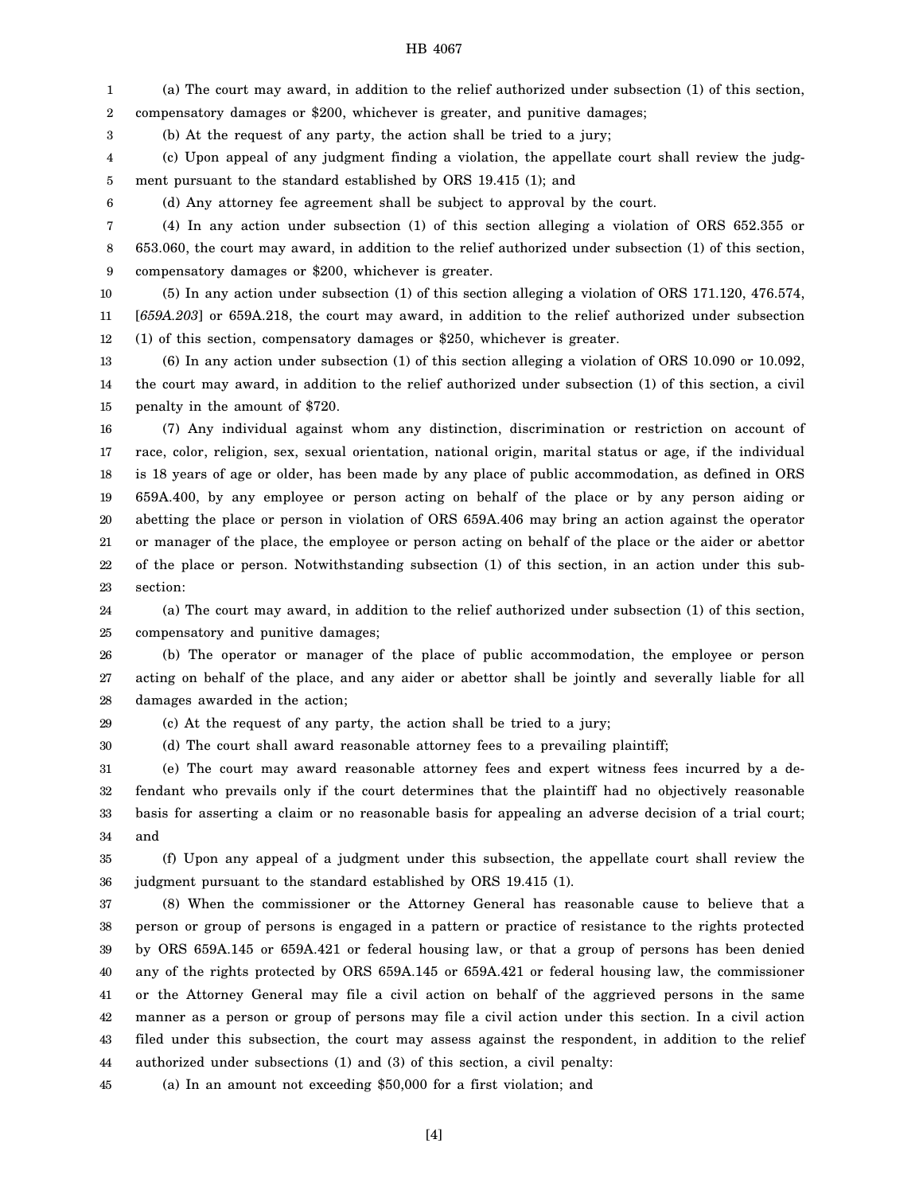1 2 (a) The court may award, in addition to the relief authorized under subsection (1) of this section, compensatory damages or \$200, whichever is greater, and punitive damages;

(b) At the request of any party, the action shall be tried to a jury;

4 5 (c) Upon appeal of any judgment finding a violation, the appellate court shall review the judgment pursuant to the standard established by ORS 19.415 (1); and

6

3

(d) Any attorney fee agreement shall be subject to approval by the court.

7 8 9 (4) In any action under subsection (1) of this section alleging a violation of ORS 652.355 or 653.060, the court may award, in addition to the relief authorized under subsection (1) of this section, compensatory damages or \$200, whichever is greater.

10 11 12 (5) In any action under subsection (1) of this section alleging a violation of ORS 171.120, 476.574, [*659A.203*] or 659A.218, the court may award, in addition to the relief authorized under subsection (1) of this section, compensatory damages or \$250, whichever is greater.

13 14 15 (6) In any action under subsection (1) of this section alleging a violation of ORS 10.090 or 10.092, the court may award, in addition to the relief authorized under subsection (1) of this section, a civil penalty in the amount of \$720.

16 17 18 19 20 21 22 23 (7) Any individual against whom any distinction, discrimination or restriction on account of race, color, religion, sex, sexual orientation, national origin, marital status or age, if the individual is 18 years of age or older, has been made by any place of public accommodation, as defined in ORS 659A.400, by any employee or person acting on behalf of the place or by any person aiding or abetting the place or person in violation of ORS 659A.406 may bring an action against the operator or manager of the place, the employee or person acting on behalf of the place or the aider or abettor of the place or person. Notwithstanding subsection (1) of this section, in an action under this subsection:

24 25 (a) The court may award, in addition to the relief authorized under subsection (1) of this section, compensatory and punitive damages;

26 27 28 (b) The operator or manager of the place of public accommodation, the employee or person acting on behalf of the place, and any aider or abettor shall be jointly and severally liable for all damages awarded in the action;

29 (c) At the request of any party, the action shall be tried to a jury;

30 (d) The court shall award reasonable attorney fees to a prevailing plaintiff;

31 32 33 34 (e) The court may award reasonable attorney fees and expert witness fees incurred by a defendant who prevails only if the court determines that the plaintiff had no objectively reasonable basis for asserting a claim or no reasonable basis for appealing an adverse decision of a trial court; and

35 36 (f) Upon any appeal of a judgment under this subsection, the appellate court shall review the judgment pursuant to the standard established by ORS 19.415 (1).

37 38 39 40 41 42 43 44 (8) When the commissioner or the Attorney General has reasonable cause to believe that a person or group of persons is engaged in a pattern or practice of resistance to the rights protected by ORS 659A.145 or 659A.421 or federal housing law, or that a group of persons has been denied any of the rights protected by ORS 659A.145 or 659A.421 or federal housing law, the commissioner or the Attorney General may file a civil action on behalf of the aggrieved persons in the same manner as a person or group of persons may file a civil action under this section. In a civil action filed under this subsection, the court may assess against the respondent, in addition to the relief authorized under subsections (1) and (3) of this section, a civil penalty:

45 (a) In an amount not exceeding \$50,000 for a first violation; and